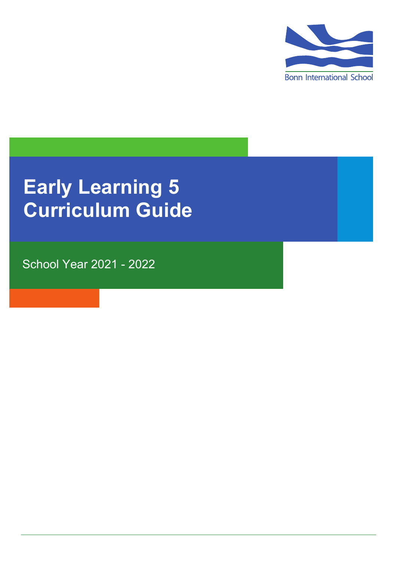

# **Early Learning 5 Curriculum Guide**

School Year 2021 - 2022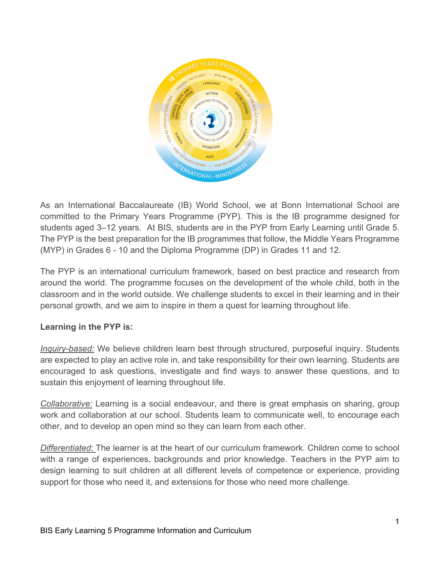

As an International Baccalaureate (IB) World School, we at Bonn International School are committed to the Primary Years Programme (PYP). This is the IB programme designed for students aged 3–12 years. At BIS, students are in the PYP from Early Learning until Grade 5. The PYP is the best preparation for the IB programmes that follow, the Middle Years Programme (MYP) in Grades 6 - 10 and the Diploma Programme (DP) in Grades 11 and 12.

The PYP is an international curriculum framework, based on best practice and research from around the world. The programme focuses on the development of the whole child, both in the classroom and in the world outside. We challenge students to excel in their learning and in their personal growth, and we aim to inspire in them a quest for learning throughout life.

# **Learning in the PYP is:**

*Inquiry-based:* We believe children learn best through structured, purposeful inquiry. Students are expected to play an active role in, and take responsibility for their own learning. Students are encouraged to ask questions, investigate and find ways to answer these questions, and to sustain this enjoyment of learning throughout life.

*Collaborative:* Learning is a social endeavour, and there is great emphasis on sharing, group work and collaboration at our school. Students learn to communicate well, to encourage each other, and to develop an open mind so they can learn from each other.

*Differentiated:* The learner is at the heart of our curriculum framework. Children come to school with a range of experiences, backgrounds and prior knowledge. Teachers in the PYP aim to design learning to suit children at all different levels of competence or experience, providing support for those who need it, and extensions for those who need more challenge.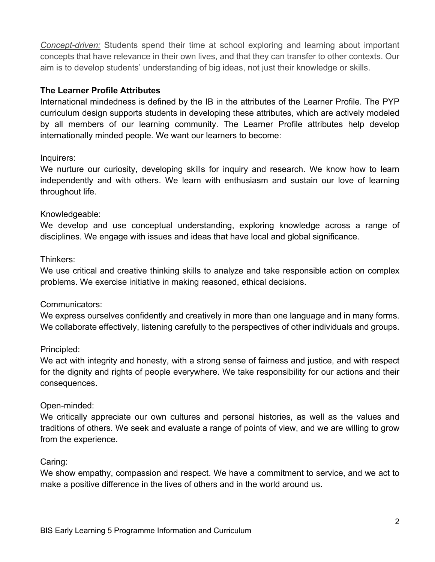*Concept-driven:* Students spend their time at school exploring and learning about important concepts that have relevance in their own lives, and that they can transfer to other contexts. Our aim is to develop students' understanding of big ideas, not just their knowledge or skills.

#### **The Learner Profile Attributes**

International mindedness is defined by the IB in the attributes of the Learner Profile. The PYP curriculum design supports students in developing these attributes, which are actively modeled by all members of our learning community. The Learner Profile attributes help develop internationally minded people. We want our learners to become:

#### Inquirers:

We nurture our curiosity, developing skills for inquiry and research. We know how to learn independently and with others. We learn with enthusiasm and sustain our love of learning throughout life.

#### Knowledgeable:

We develop and use conceptual understanding, exploring knowledge across a range of disciplines. We engage with issues and ideas that have local and global significance.

#### Thinkers:

We use critical and creative thinking skills to analyze and take responsible action on complex problems. We exercise initiative in making reasoned, ethical decisions.

#### Communicators:

We express ourselves confidently and creatively in more than one language and in many forms. We collaborate effectively, listening carefully to the perspectives of other individuals and groups.

#### Principled:

We act with integrity and honesty, with a strong sense of fairness and justice, and with respect for the dignity and rights of people everywhere. We take responsibility for our actions and their consequences.

#### Open-minded:

We critically appreciate our own cultures and personal histories, as well as the values and traditions of others. We seek and evaluate a range of points of view, and we are willing to grow from the experience.

#### Caring:

We show empathy, compassion and respect. We have a commitment to service, and we act to make a positive difference in the lives of others and in the world around us.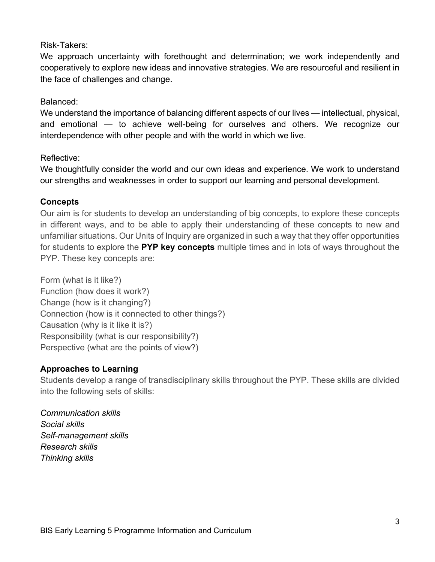## Risk-Takers:

We approach uncertainty with forethought and determination; we work independently and cooperatively to explore new ideas and innovative strategies. We are resourceful and resilient in the face of challenges and change.

#### Balanced:

We understand the importance of balancing different aspects of our lives — intellectual, physical, and emotional — to achieve well-being for ourselves and others. We recognize our interdependence with other people and with the world in which we live.

#### Reflective:

We thoughtfully consider the world and our own ideas and experience. We work to understand our strengths and weaknesses in order to support our learning and personal development.

#### **Concepts**

Our aim is for students to develop an understanding of big concepts, to explore these concepts in different ways, and to be able to apply their understanding of these concepts to new and unfamiliar situations. Our Units of Inquiry are organized in such a way that they offer opportunities for students to explore the **PYP key concepts** multiple times and in lots of ways throughout the PYP. These key concepts are:

Form (what is it like?) Function (how does it work?) Change (how is it changing?) Connection (how is it connected to other things?) Causation (why is it like it is?) Responsibility (what is our responsibility?) Perspective (what are the points of view?)

## **Approaches to Learning**

Students develop a range of transdisciplinary skills throughout the PYP. These skills are divided into the following sets of skills:

*Communication skills Social skills Self-management skills Research skills Thinking skills*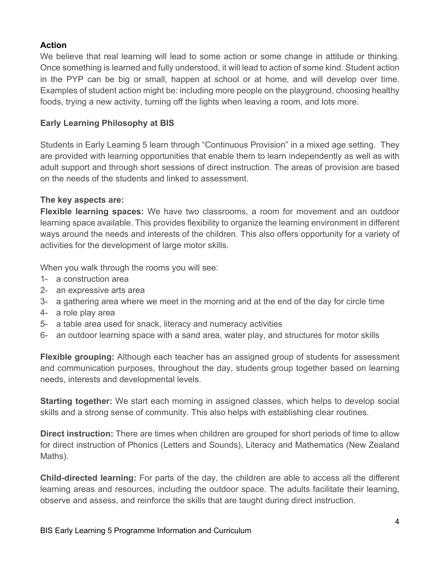# **Action**

We believe that real learning will lead to some action or some change in attitude or thinking. Once something is learned and fully understood, it will lead to action of some kind. Student action in the PYP can be big or small, happen at school or at home, and will develop over time. Examples of student action might be: including more people on the playground, choosing healthy foods, trying a new activity, turning off the lights when leaving a room, and lots more.

# **Early Learning Philosophy at BIS**

Students in Early Learning 5 learn through "Continuous Provision" in a mixed age setting. They are provided with learning opportunities that enable them to learn independently as well as with adult support and through short sessions of direct instruction. The areas of provision are based on the needs of the students and linked to assessment.

## **The key aspects are:**

**Flexible learning spaces:** We have two classrooms, a room for movement and an outdoor learning space available. This provides flexibility to organize the learning environment in different ways around the needs and interests of the children. This also offers opportunity for a variety of activities for the development of large motor skills.

When you walk through the rooms you will see:

- 1- a construction area
- 2- an expressive arts area
- 3- a gathering area where we meet in the morning and at the end of the day for circle time
- 4- a role play area
- 5- a table area used for snack, literacy and numeracy activities
- 6- an outdoor learning space with a sand area, water play, and structures for motor skills

**Flexible grouping:** Although each teacher has an assigned group of students for assessment and communication purposes, throughout the day, students group together based on learning needs, interests and developmental levels.

**Starting together:** We start each morning in assigned classes, which helps to develop social skills and a strong sense of community. This also helps with establishing clear routines.

**Direct instruction:** There are times when children are grouped for short periods of time to allow for direct instruction of Phonics (Letters and Sounds), Literacy and Mathematics (New Zealand Maths).

**Child-directed learning:** For parts of the day, the children are able to access all the different learning areas and resources, including the outdoor space. The adults facilitate their learning, observe and assess, and reinforce the skills that are taught during direct instruction.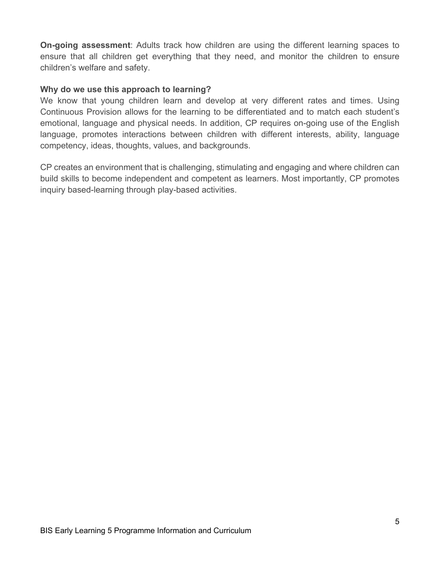**On-going assessment**: Adults track how children are using the different learning spaces to ensure that all children get everything that they need, and monitor the children to ensure children's welfare and safety.

#### **Why do we use this approach to learning?**

We know that young children learn and develop at very different rates and times. Using Continuous Provision allows for the learning to be differentiated and to match each student's emotional, language and physical needs. In addition, CP requires on-going use of the English language, promotes interactions between children with different interests, ability, language competency, ideas, thoughts, values, and backgrounds.

CP creates an environment that is challenging, stimulating and engaging and where children can build skills to become independent and competent as learners. Most importantly, CP promotes inquiry based-learning through play-based activities.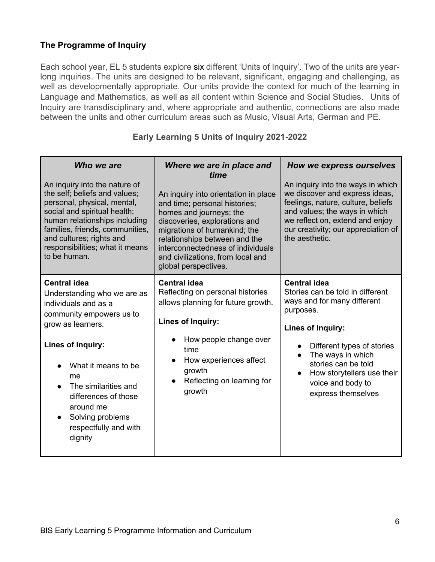## **The Programme of Inquiry**

Each school year, EL 5 students explore six different 'Units of Inquiry'. Two of the units are yearlong inquiries. The units are designed to be relevant, significant, engaging and challenging, as well as developmentally appropriate. Our units provide the context for much of the learning in Language and Mathematics, as well as all content within Science and Social Studies. Units of Inquiry are transdisciplinary and, where appropriate and authentic, connections are also made between the units and other curriculum areas such as Music, Visual Arts, German and PE.

| Who we are<br>An inquiry into the nature of<br>the self; beliefs and values;<br>personal, physical, mental,<br>social and spiritual health;<br>human relationships including<br>families, friends, communities,<br>and cultures; rights and<br>responsibilities; what it means<br>to be human.     | Where we are in place and<br>time<br>An inquiry into orientation in place<br>and time; personal histories;<br>homes and journeys; the<br>discoveries, explorations and<br>migrations of humankind; the<br>relationships between and the<br>interconnectedness of individuals<br>and civilizations, from local and<br>global perspectives. | How we express ourselves<br>An inquiry into the ways in which<br>we discover and express ideas,<br>feelings, nature, culture, beliefs<br>and values; the ways in which<br>we reflect on, extend and enjoy<br>our creativity; our appreciation of<br>the aesthetic.                       |
|----------------------------------------------------------------------------------------------------------------------------------------------------------------------------------------------------------------------------------------------------------------------------------------------------|-------------------------------------------------------------------------------------------------------------------------------------------------------------------------------------------------------------------------------------------------------------------------------------------------------------------------------------------|------------------------------------------------------------------------------------------------------------------------------------------------------------------------------------------------------------------------------------------------------------------------------------------|
| <b>Central idea</b><br>Understanding who we are as<br>individuals and as a<br>community empowers us to<br>grow as learners.<br>Lines of Inquiry:<br>What it means to be<br>me<br>The similarities and<br>differences of those<br>around me<br>Solving problems<br>respectfully and with<br>dignity | <b>Central idea</b><br>Reflecting on personal histories<br>allows planning for future growth.<br>Lines of Inquiry:<br>How people change over<br>time<br>How experiences affect<br>growth<br>Reflecting on learning for<br>growth                                                                                                          | <b>Central idea</b><br>Stories can be told in different<br>ways and for many different<br>purposes.<br>Lines of Inquiry:<br>Different types of stories<br>The ways in which<br>stories can be told<br>How storytellers use their<br>$\bullet$<br>voice and body to<br>express themselves |

#### **Early Learning 5 Units of Inquiry 2021-2022**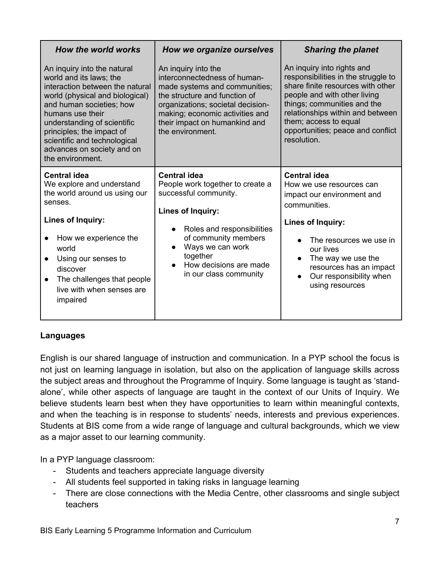| How the world works                                                                                                                                                                                                                                                                                                        | How we organize ourselves                                                                                                                                                                                                                          | <b>Sharing the planet</b>                                                                                                                                                                                                                                                              |
|----------------------------------------------------------------------------------------------------------------------------------------------------------------------------------------------------------------------------------------------------------------------------------------------------------------------------|----------------------------------------------------------------------------------------------------------------------------------------------------------------------------------------------------------------------------------------------------|----------------------------------------------------------------------------------------------------------------------------------------------------------------------------------------------------------------------------------------------------------------------------------------|
| An inquiry into the natural<br>world and its laws; the<br>interaction between the natural<br>world (physical and biological)<br>and human societies; how<br>humans use their<br>understanding of scientific<br>principles; the impact of<br>scientific and technological<br>advances on society and on<br>the environment. | An inquiry into the<br>interconnectedness of human-<br>made systems and communities;<br>the structure and function of<br>organizations; societal decision-<br>making; economic activities and<br>their impact on humankind and<br>the environment. | An inquiry into rights and<br>responsibilities in the struggle to<br>share finite resources with other<br>people and with other living<br>things; communities and the<br>relationships within and between<br>them; access to equal<br>opportunities; peace and conflict<br>resolution. |
| <b>Central idea</b><br>We explore and understand<br>the world around us using our<br>senses.<br>Lines of Inquiry:                                                                                                                                                                                                          | <b>Central idea</b><br>People work together to create a<br>successful community.<br>Lines of Inquiry:                                                                                                                                              | <b>Central idea</b><br>How we use resources can<br>impact our environment and<br>communities.                                                                                                                                                                                          |
| How we experience the<br>world<br>Using our senses to<br>discover<br>The challenges that people<br>live with when senses are<br>impaired                                                                                                                                                                                   | Roles and responsibilities<br>$\bullet$<br>of community members<br>Ways we can work<br>$\bullet$<br>together<br>How decisions are made<br>$\bullet$<br>in our class community                                                                      | Lines of Inquiry:<br>The resources we use in<br>our lives<br>The way we use the<br>$\bullet$<br>resources has an impact<br>Our responsibility when<br>$\bullet$<br>using resources                                                                                                     |

## **Languages**

English is our shared language of instruction and communication. In a PYP school the focus is not just on learning language in isolation, but also on the application of language skills across the subject areas and throughout the Programme of Inquiry. Some language is taught as 'standalone', while other aspects of language are taught in the context of our Units of Inquiry. We believe students learn best when they have opportunities to learn within meaningful contexts, and when the teaching is in response to students' needs, interests and previous experiences. Students at BIS come from a wide range of language and cultural backgrounds, which we view as a major asset to our learning community.

In a PYP language classroom:

- Students and teachers appreciate language diversity
- All students feel supported in taking risks in language learning
- There are close connections with the Media Centre, other classrooms and single subject teachers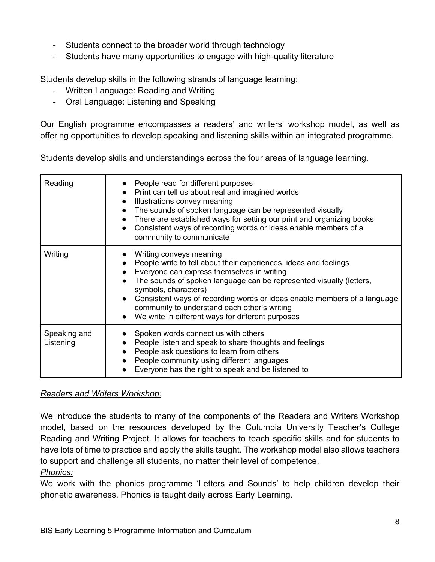- Students connect to the broader world through technology
- Students have many opportunities to engage with high-quality literature

Students develop skills in the following strands of language learning:

- Written Language: Reading and Writing
- Oral Language: Listening and Speaking

Our English programme encompasses a readers' and writers' workshop model, as well as offering opportunities to develop speaking and listening skills within an integrated programme.

Students develop skills and understandings across the four areas of language learning.

| Reading                   | People read for different purposes<br>• Print can tell us about real and imagined worlds<br>Illustrations convey meaning<br>$\bullet$<br>The sounds of spoken language can be represented visually<br>There are established ways for setting our print and organizing books<br>$\bullet$<br>Consistent ways of recording words or ideas enable members of a<br>community to communicate                                   |
|---------------------------|---------------------------------------------------------------------------------------------------------------------------------------------------------------------------------------------------------------------------------------------------------------------------------------------------------------------------------------------------------------------------------------------------------------------------|
| Writing                   | Writing conveys meaning<br>People write to tell about their experiences, ideas and feelings<br>Everyone can express themselves in writing<br>The sounds of spoken language can be represented visually (letters,<br>symbols, characters)<br>Consistent ways of recording words or ideas enable members of a language<br>community to understand each other's writing<br>We write in different ways for different purposes |
| Speaking and<br>Listening | Spoken words connect us with others<br>People listen and speak to share thoughts and feelings<br>People ask questions to learn from others<br>People community using different languages<br>Everyone has the right to speak and be listened to                                                                                                                                                                            |

*Readers and Writers Workshop:*

We introduce the students to many of the components of the Readers and Writers Workshop model, based on the resources developed by the Columbia University Teacher's College Reading and Writing Project. It allows for teachers to teach specific skills and for students to have lots of time to practice and apply the skills taught. The workshop model also allows teachers to support and challenge all students, no matter their level of competence.

#### *Phonics:*

We work with the phonics programme 'Letters and Sounds' to help children develop their phonetic awareness. Phonics is taught daily across Early Learning.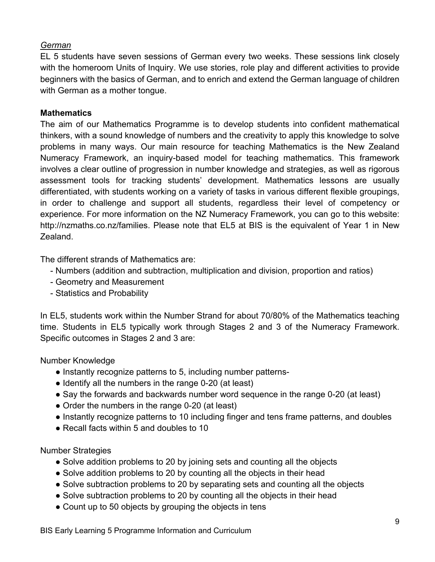## *German*

EL 5 students have seven sessions of German every two weeks. These sessions link closely with the homeroom Units of Inquiry. We use stories, role play and different activities to provide beginners with the basics of German, and to enrich and extend the German language of children with German as a mother tongue.

## **Mathematics**

The aim of our Mathematics Programme is to develop students into confident mathematical thinkers, with a sound knowledge of numbers and the creativity to apply this knowledge to solve problems in many ways. Our main resource for teaching Mathematics is the New Zealand Numeracy Framework, an inquiry-based model for teaching mathematics. This framework involves a clear outline of progression in number knowledge and strategies, as well as rigorous assessment tools for tracking students' development. Mathematics lessons are usually differentiated, with students working on a variety of tasks in various different flexible groupings, in order to challenge and support all students, regardless their level of competency or experience. For more information on the NZ Numeracy Framework, you can go to this website: http://nzmaths.co.nz/families. Please note that EL5 at BIS is the equivalent of Year 1 in New Zealand.

The different strands of Mathematics are:

- Numbers (addition and subtraction, multiplication and division, proportion and ratios)
- Geometry and Measurement
- Statistics and Probability

In EL5, students work within the Number Strand for about 70/80% of the Mathematics teaching time. Students in EL5 typically work through Stages 2 and 3 of the Numeracy Framework. Specific outcomes in Stages 2 and 3 are:

## Number Knowledge

- Instantly recognize patterns to 5, including number patterns-
- Identify all the numbers in the range 0-20 (at least)
- Say the forwards and backwards number word sequence in the range 0-20 (at least)
- Order the numbers in the range 0-20 (at least)
- Instantly recognize patterns to 10 including finger and tens frame patterns, and doubles
- Recall facts within 5 and doubles to 10

## Number Strategies

- Solve addition problems to 20 by joining sets and counting all the objects
- Solve addition problems to 20 by counting all the objects in their head
- Solve subtraction problems to 20 by separating sets and counting all the objects
- Solve subtraction problems to 20 by counting all the objects in their head
- Count up to 50 objects by grouping the objects in tens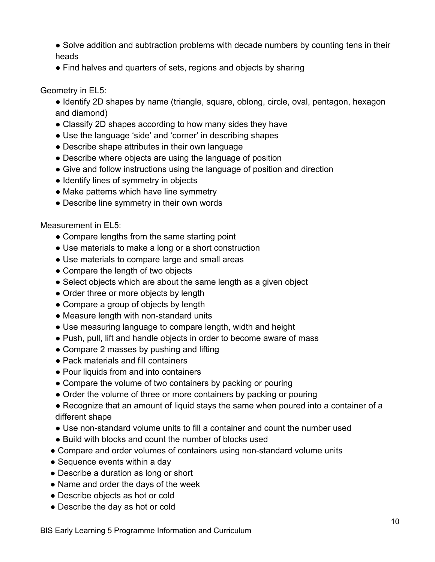- Solve addition and subtraction problems with decade numbers by counting tens in their heads
- Find halves and quarters of sets, regions and objects by sharing

#### Geometry in EL5:

- Identify 2D shapes by name (triangle, square, oblong, circle, oval, pentagon, hexagon and diamond)
- Classify 2D shapes according to how many sides they have
- Use the language 'side' and 'corner' in describing shapes
- Describe shape attributes in their own language
- Describe where objects are using the language of position
- Give and follow instructions using the language of position and direction
- Identify lines of symmetry in objects
- Make patterns which have line symmetry
- Describe line symmetry in their own words

Measurement in EL5:

- Compare lengths from the same starting point
- Use materials to make a long or a short construction
- Use materials to compare large and small areas
- Compare the length of two objects
- Select objects which are about the same length as a given object
- Order three or more objects by length
- Compare a group of objects by length
- Measure length with non-standard units
- Use measuring language to compare length, width and height
- Push, pull, lift and handle objects in order to become aware of mass
- Compare 2 masses by pushing and lifting
- Pack materials and fill containers
- Pour liquids from and into containers
- Compare the volume of two containers by packing or pouring
- Order the volume of three or more containers by packing or pouring
- Recognize that an amount of liquid stays the same when poured into a container of a different shape
- Use non-standard volume units to fill a container and count the number used
- Build with blocks and count the number of blocks used
- Compare and order volumes of containers using non-standard volume units
- Sequence events within a day
- Describe a duration as long or short
- Name and order the days of the week
- Describe objects as hot or cold
- Describe the day as hot or cold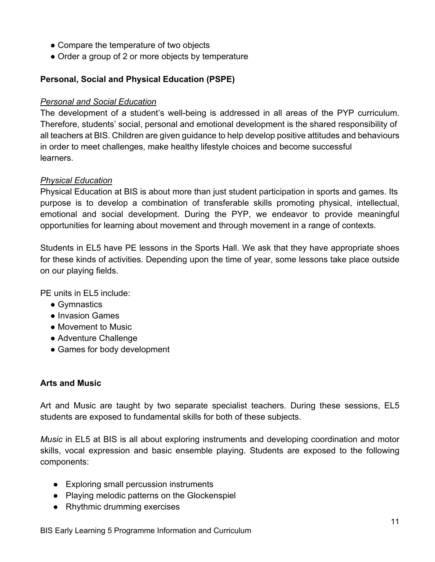- Compare the temperature of two objects
- Order a group of 2 or more objects by temperature

# **Personal, Social and Physical Education (PSPE)**

# *Personal and Social Education*

The development of a student's well-being is addressed in all areas of the PYP curriculum. Therefore, students' social, personal and emotional development is the shared responsibility of all teachers at BIS. Children are given guidance to help develop positive attitudes and behaviours in order to meet challenges, make healthy lifestyle choices and become successful learners.

# *Physical Education*

Physical Education at BIS is about more than just student participation in sports and games. Its purpose is to develop a combination of transferable skills promoting physical, intellectual, emotional and social development. During the PYP, we endeavor to provide meaningful opportunities for learning about movement and through movement in a range of contexts.

Students in EL5 have PE lessons in the Sports Hall. We ask that they have appropriate shoes for these kinds of activities. Depending upon the time of year, some lessons take place outside on our playing fields.

PE units in EL5 include:

- Gymnastics
- Invasion Games
- Movement to Music
- Adventure Challenge
- Games for body development

## **Arts and Music**

Art and Music are taught by two separate specialist teachers. During these sessions, EL5 students are exposed to fundamental skills for both of these subjects.

*Music* in EL5 at BIS is all about exploring instruments and developing coordination and motor skills, vocal expression and basic ensemble playing. Students are exposed to the following components:

- Exploring small percussion instruments
- Playing melodic patterns on the Glockenspiel
- Rhythmic drumming exercises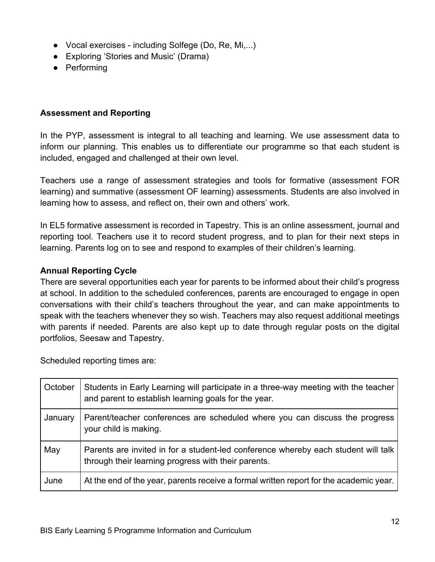- Vocal exercises including Solfege (Do, Re, Mi,...)
- Exploring 'Stories and Music' (Drama)
- Performing

#### **Assessment and Reporting**

In the PYP, assessment is integral to all teaching and learning. We use assessment data to inform our planning. This enables us to differentiate our programme so that each student is included, engaged and challenged at their own level.

Teachers use a range of assessment strategies and tools for formative (assessment FOR learning) and summative (assessment OF learning) assessments. Students are also involved in learning how to assess, and reflect on, their own and others' work.

In EL5 formative assessment is recorded in Tapestry. This is an online assessment, journal and reporting tool. Teachers use it to record student progress, and to plan for their next steps in learning. Parents log on to see and respond to examples of their children's learning.

#### **Annual Reporting Cycle**

There are several opportunities each year for parents to be informed about their child's progress at school. In addition to the scheduled conferences, parents are encouraged to engage in open conversations with their child's teachers throughout the year, and can make appointments to speak with the teachers whenever they so wish. Teachers may also request additional meetings with parents if needed. Parents are also kept up to date through regular posts on the digital portfolios, Seesaw and Tapestry.

Scheduled reporting times are:

| October | Students in Early Learning will participate in a three-way meeting with the teacher<br>and parent to establish learning goals for the year. |
|---------|---------------------------------------------------------------------------------------------------------------------------------------------|
| January | Parent/teacher conferences are scheduled where you can discuss the progress<br>your child is making.                                        |
| May     | Parents are invited in for a student-led conference whereby each student will talk<br>through their learning progress with their parents.   |
| June    | At the end of the year, parents receive a formal written report for the academic year.                                                      |